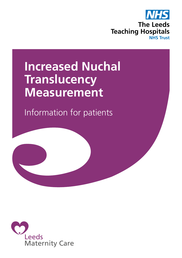

# **Increased Nuchal Translucency Measurement**

Information for patients

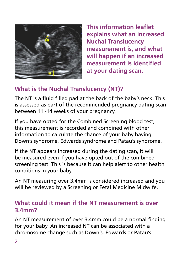

**This information leaflet explains what an increased Nuchal Translucency measurement is, and what will happen if an increased measurement is identified at your dating scan.**

### **What is the Nuchal Translucency (NT)?**

The NT is a fluid filled pad at the back of the baby's neck. This is assessed as part of the recommended pregnancy dating scan between 11 -14 weeks of your pregnancy.

If you have opted for the Combined Screening blood test, this measurement is recorded and combined with other information to calculate the chance of your baby having Down's syndrome, Edwards syndrome and Patau's syndrome.

If the NT appears increased during the dating scan, it will be measured even if you have opted out of the combined screening test. This is because it can help alert to other health conditions in your baby.

An NT measuring over 3.4mm is considered increased and you will be reviewed by a Screening or Fetal Medicine Midwife.

#### **What could it mean if the NT measurement is over 3.4mm?**

An NT measurement of over 3.4mm could be a normal finding for your baby. An increased NT can be associated with a chromosome change such as Down's, Edwards or Patau's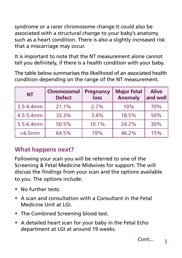syndrome or a rarer chromosome change.It could also be associated with a structural change to your baby's anatomy such as a heart condition. There is also a slightly increased risk that a miscarriage may occur.

It is important to note that the NT measurement alone cannot tell you definitely, if there is a health condition with your baby.

The table below summarises the likelihood of an associated health condition depending on the range of the NT measurement.

| <b>NT</b>      | Chromosomal<br><b>Defect</b> | <b>Pregnancy</b><br>loss | <b>Major Fetal</b><br><b>Anomaly</b> | <b>Alive</b><br>and well |
|----------------|------------------------------|--------------------------|--------------------------------------|--------------------------|
| $3.5 - 4.4$ mm | 21.1%                        | 2.7%                     | 10%                                  | 70%                      |
| 4.5-5.4mm      | 33.3%                        | 3.4%                     | 18.5%                                | 50%                      |
| $5.5 - 6.4$ mm | 50.5%                        | 10.1%                    | 24.2%                                | 30%                      |
| >6.5mm         | 64.5%                        | 19%                      | 46.2%                                | 15%                      |

# **What happens next?**

Following your scan you will be referred to one of the Screening & Fetal Medicine Midwives for support. The will discuss the findings from your scan and the options available to you. The options include:

- No further tests
- A scan and consultation with a Consultant in the Fetal Medicine Unit at LGI.
- The Combined Screening blood test.
- A detailed heart scan for your baby in the Fetal Echo department at LGI at around 19 weeks.